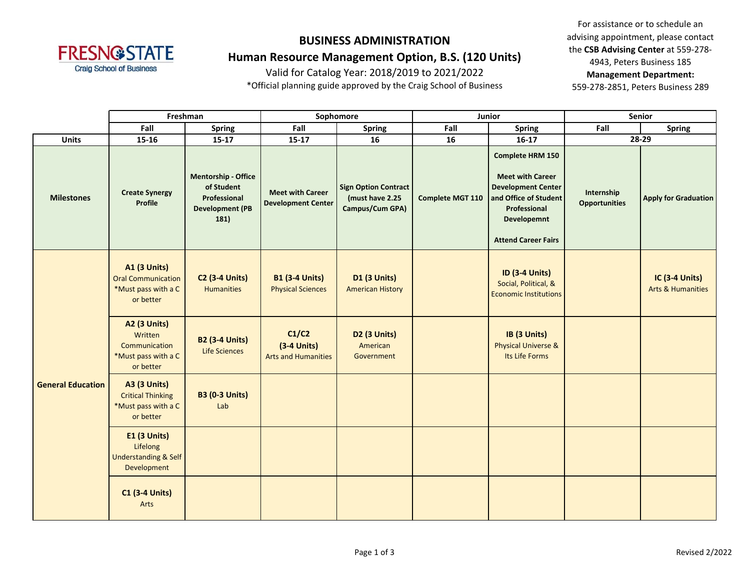

### **Human Resource Management Option, B.S. (120 Units)**

Valid for Catalog Year: 2018/2019 to 2021/2022

\*Official planning guide approved by the Craig School of Business

For assistance or to schedule an advising appointment, please contact the **CSB Advising Center** at 559-278- 4943, Peters Business 185 **Management Department:**  559-278-2851, Peters Business 289

|                          | Freshman                                                                             |                                                                                            |                                                      | Sophomore                                                         |                         | <b>Junior</b>                                                                                                                                                         |                                    | <b>Senior</b>                                         |
|--------------------------|--------------------------------------------------------------------------------------|--------------------------------------------------------------------------------------------|------------------------------------------------------|-------------------------------------------------------------------|-------------------------|-----------------------------------------------------------------------------------------------------------------------------------------------------------------------|------------------------------------|-------------------------------------------------------|
|                          | Fall                                                                                 | <b>Spring</b>                                                                              | Fall                                                 | <b>Spring</b>                                                     | Fall                    | <b>Spring</b>                                                                                                                                                         | Fall                               | <b>Spring</b>                                         |
| <b>Units</b>             | 15-16                                                                                | $15 - 17$                                                                                  | $15-17$                                              | 16                                                                | 16                      | $16 - 17$                                                                                                                                                             |                                    | 28-29                                                 |
| <b>Milestones</b>        | <b>Create Synergy</b><br>Profile                                                     | <b>Mentorship - Office</b><br>of Student<br>Professional<br><b>Development (PB</b><br>181) | <b>Meet with Career</b><br><b>Development Center</b> | <b>Sign Option Contract</b><br>(must have 2.25<br>Campus/Cum GPA) | <b>Complete MGT 110</b> | <b>Complete HRM 150</b><br><b>Meet with Career</b><br><b>Development Center</b><br>and Office of Student<br>Professional<br>Developemnt<br><b>Attend Career Fairs</b> | Internship<br><b>Opportunities</b> | <b>Apply for Graduation</b>                           |
|                          | <b>A1 (3 Units)</b><br><b>Oral Communication</b><br>*Must pass with a C<br>or better | <b>C2 (3-4 Units)</b><br><b>Humanities</b>                                                 | <b>B1 (3-4 Units)</b><br><b>Physical Sciences</b>    | <b>D1 (3 Units)</b><br><b>American History</b>                    |                         | <b>ID (3-4 Units)</b><br>Social, Political, &<br><b>Economic Institutions</b>                                                                                         |                                    | <b>IC (3-4 Units)</b><br><b>Arts &amp; Humanities</b> |
|                          | <b>A2 (3 Units)</b><br>Written<br>Communication<br>*Must pass with a C<br>or better  | <b>B2 (3-4 Units)</b><br><b>Life Sciences</b>                                              | C1/C2<br>$(3-4$ Units)<br><b>Arts and Humanities</b> | <b>D2 (3 Units)</b><br>American<br>Government                     |                         | IB (3 Units)<br><b>Physical Universe &amp;</b><br>Its Life Forms                                                                                                      |                                    |                                                       |
| <b>General Education</b> | <b>A3 (3 Units)</b><br><b>Critical Thinking</b><br>*Must pass with a C<br>or better  | <b>B3 (0-3 Units)</b><br>Lab                                                               |                                                      |                                                                   |                         |                                                                                                                                                                       |                                    |                                                       |
|                          | <b>E1 (3 Units)</b><br>Lifelong<br><b>Understanding &amp; Self</b><br>Development    |                                                                                            |                                                      |                                                                   |                         |                                                                                                                                                                       |                                    |                                                       |
|                          | <b>C1 (3-4 Units)</b><br>Arts                                                        |                                                                                            |                                                      |                                                                   |                         |                                                                                                                                                                       |                                    |                                                       |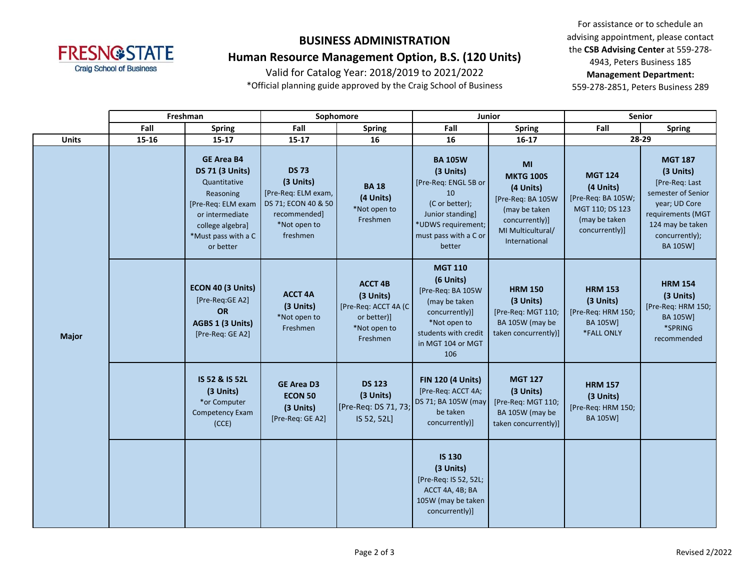

## **Human Resource Management Option, B.S. (120 Units)**

Valid for Catalog Year: 2018/2019 to 2021/2022

\*Official planning guide approved by the Craig School of Business

For assistance or to schedule an advising appointment, please contact the **CSB Advising Center** at 559-278- 4943, Peters Business 185 **Management Department:**  559-278-2851, Peters Business 289

|              |       | Freshman                                                                                                                                                                                                                                                                                                                                                                                                                                                                                                                                                                                                                                                                                                                                                             |                                                                      | Sophomore                                                                                      |                                                                                                                                                                    | <b>Junior</b>                                                                                | <b>Senior</b>                                                                      |                                                                                                |
|--------------|-------|----------------------------------------------------------------------------------------------------------------------------------------------------------------------------------------------------------------------------------------------------------------------------------------------------------------------------------------------------------------------------------------------------------------------------------------------------------------------------------------------------------------------------------------------------------------------------------------------------------------------------------------------------------------------------------------------------------------------------------------------------------------------|----------------------------------------------------------------------|------------------------------------------------------------------------------------------------|--------------------------------------------------------------------------------------------------------------------------------------------------------------------|----------------------------------------------------------------------------------------------|------------------------------------------------------------------------------------|------------------------------------------------------------------------------------------------|
|              | Fall  | <b>Spring</b>                                                                                                                                                                                                                                                                                                                                                                                                                                                                                                                                                                                                                                                                                                                                                        | Fall                                                                 | <b>Spring</b>                                                                                  | Fall                                                                                                                                                               | <b>Spring</b>                                                                                | Fall                                                                               | <b>Spring</b>                                                                                  |
| <b>Units</b> | 15-16 | $15 - 17$                                                                                                                                                                                                                                                                                                                                                                                                                                                                                                                                                                                                                                                                                                                                                            | 15-17                                                                | 16                                                                                             | 16                                                                                                                                                                 | $16 - 17$                                                                                    | 28-29                                                                              |                                                                                                |
|              |       | <b>GE Area B4</b><br><b>BA 105W</b><br>MI<br><b>DS 73</b><br><b>DS 71 (3 Units)</b><br>(3 Units)<br><b>MGT 124</b><br><b>MKTG 100S</b><br>(3 Units)<br>Quantitative<br>[Pre-Req: ENGL 5B or<br><b>BA18</b><br>(4 Units)<br>(4 Units)<br>[Pre-Req: ELM exam,<br>10<br>Reasoning<br>(4 Units)<br>[Pre-Req: BA 105W<br>[Pre-Req: BA 105W;<br>(C or better);<br>DS 71; ECON 40 & 50<br>[Pre-Req: ELM exam<br>*Not open to<br>MGT 110; DS 123<br>(may be taken<br>or intermediate<br>recommended]<br>Junior standing]<br>Freshmen<br>(may be taken<br>concurrently)]<br>*UDWS requirement;<br>*Not open to<br>college algebra]<br>concurrently)]<br>MI Multicultural/<br>freshmen<br>must pass with a C or<br>*Must pass with a C<br>International<br>better<br>or better |                                                                      |                                                                                                | <b>MGT 187</b><br>(3 Units)<br>[Pre-Req: Last<br>semester of Senior<br>year; UD Core<br>requirements (MGT<br>124 may be taken<br>concurrently);<br><b>BA 105W]</b> |                                                                                              |                                                                                    |                                                                                                |
| <b>Major</b> |       | ECON 40 (3 Units)<br>[Pre-Reg:GE A2]<br>OR<br>AGBS 1 (3 Units)<br>[Pre-Req: GE A2]                                                                                                                                                                                                                                                                                                                                                                                                                                                                                                                                                                                                                                                                                   | <b>ACCT 4A</b><br>(3 Units)<br>*Not open to<br>Freshmen              | <b>ACCT 4B</b><br>(3 Units)<br>[Pre-Req: ACCT 4A (C<br>or better)]<br>*Not open to<br>Freshmen | <b>MGT 110</b><br>(6 Units)<br>[Pre-Req: BA 105W<br>(may be taken<br>concurrently)]<br>*Not open to<br>students with credit<br>in MGT 104 or MGT<br>106            | <b>HRM 150</b><br>(3 Units)<br>[Pre-Req: MGT 110;<br>BA 105W (may be<br>taken concurrently)] | <b>HRM 153</b><br>(3 Units)<br>[Pre-Req: HRM 150;<br><b>BA 105W]</b><br>*FALL ONLY | <b>HRM 154</b><br>(3 Units)<br>[Pre-Req: HRM 150;<br><b>BA 105W]</b><br>*SPRING<br>recommended |
|              |       | IS 52 & IS 52L<br>(3 Units)<br>*or Computer<br>Competency Exam<br>(CCE)                                                                                                                                                                                                                                                                                                                                                                                                                                                                                                                                                                                                                                                                                              | <b>GE Area D3</b><br><b>ECON 50</b><br>(3 Units)<br>[Pre-Req: GE A2] | <b>DS 123</b><br>(3 Units)<br>[Pre-Req: DS 71, 73;<br>IS 52, 52L]                              | <b>FIN 120 (4 Units)</b><br>[Pre-Req: ACCT 4A;<br>DS 71; BA 105W (may<br>be taken<br>concurrently)]                                                                | <b>MGT 127</b><br>(3 Units)<br>[Pre-Req: MGT 110;<br>BA 105W (may be<br>taken concurrently)] | <b>HRM 157</b><br>(3 Units)<br>[Pre-Req: HRM 150;<br><b>BA 105W]</b>               |                                                                                                |
|              |       |                                                                                                                                                                                                                                                                                                                                                                                                                                                                                                                                                                                                                                                                                                                                                                      |                                                                      |                                                                                                | <b>IS 130</b><br>(3 Units)<br>[Pre-Req: IS 52, 52L;<br>ACCT 4A, 4B; BA<br>105W (may be taken<br>concurrently)]                                                     |                                                                                              |                                                                                    |                                                                                                |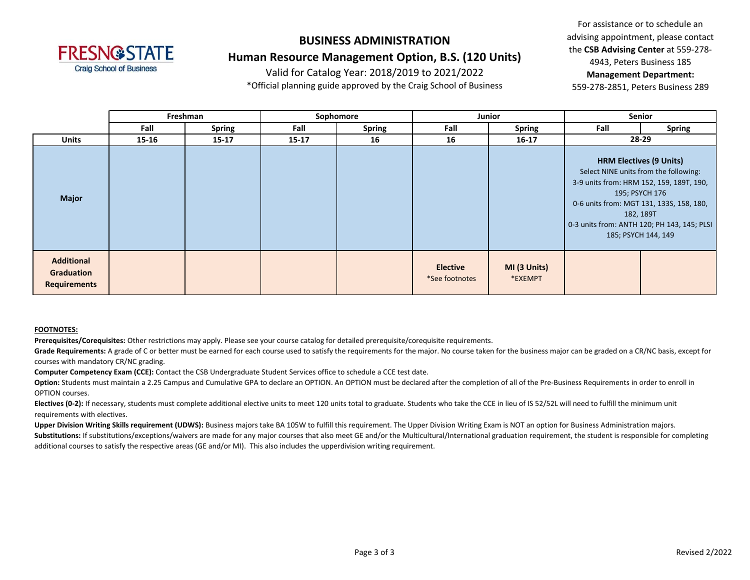

### **Human Resource Management Option, B.S. (120 Units)**

Valid for Catalog Year: 2018/2019 to 2021/2022

\*Official planning guide approved by the Craig School of Business

For assistance or to schedule an advising appointment, please contact the **CSB Advising Center** at 559-278- 4943, Peters Business 185 **Management Department:**  559-278-2851, Peters Business 289

|                                                        |           | Freshman      |           | Sophomore     |                                   | Junior                  |      | Senior                                                                                                                                                                                                                                                               |
|--------------------------------------------------------|-----------|---------------|-----------|---------------|-----------------------------------|-------------------------|------|----------------------------------------------------------------------------------------------------------------------------------------------------------------------------------------------------------------------------------------------------------------------|
|                                                        | Fall      | <b>Spring</b> | Fall      | <b>Spring</b> | Fall                              | <b>Spring</b>           | Fall | <b>Spring</b>                                                                                                                                                                                                                                                        |
| <b>Units</b>                                           | $15 - 16$ | $15 - 17$     | $15 - 17$ | 16            | 16                                | $16 - 17$               |      | 28-29                                                                                                                                                                                                                                                                |
| <b>Major</b>                                           |           |               |           |               |                                   |                         |      | <b>HRM Electives (9 Units)</b><br>Select NINE units from the following:<br>3-9 units from: HRM 152, 159, 189T, 190,<br>195; PSYCH 176<br>0-6 units from: MGT 131, 133S, 158, 180,<br>182, 189T<br>0-3 units from: ANTH 120; PH 143, 145; PLSI<br>185; PSYCH 144, 149 |
| <b>Additional</b><br>Graduation<br><b>Requirements</b> |           |               |           |               | <b>Elective</b><br>*See footnotes | MI (3 Units)<br>*EXEMPT |      |                                                                                                                                                                                                                                                                      |

#### **FOOTNOTES:**

**Prerequisites/Corequisites:** Other restrictions may apply. Please see your course catalog for detailed prerequisite/corequisite requirements.

Grade Requirements: A grade of C or better must be earned for each course used to satisfy the requirements for the major. No course taken for the business major can be graded on a CR/NC basis, except for courses with mandatory CR/NC grading.

**Computer Competency Exam (CCE):** Contact the CSB Undergraduate Student Services office to schedule a CCE test date.

Option: Students must maintain a 2.25 Campus and Cumulative GPA to declare an OPTION. An OPTION must be declared after the completion of all of the Pre-Business Requirements in order to enroll in OPTION courses.

Electives (0-2): If necessary, students must complete additional elective units to meet 120 units total to graduate. Students who take the CCE in lieu of IS 52/52L will need to fulfill the minimum unit requirements with electives.

Upper Division Writing Skills requirement (UDWS): Business majors take BA 105W to fulfill this requirement. The Upper Division Writing Exam is NOT an option for Business Administration majors. Substitutions: If substitutions/exceptions/waivers are made for any major courses that also meet GE and/or the Multicultural/International graduation requirement, the student is responsible for completing additional courses to satisfy the respective areas (GE and/or MI). This also includes the upperdivision writing requirement.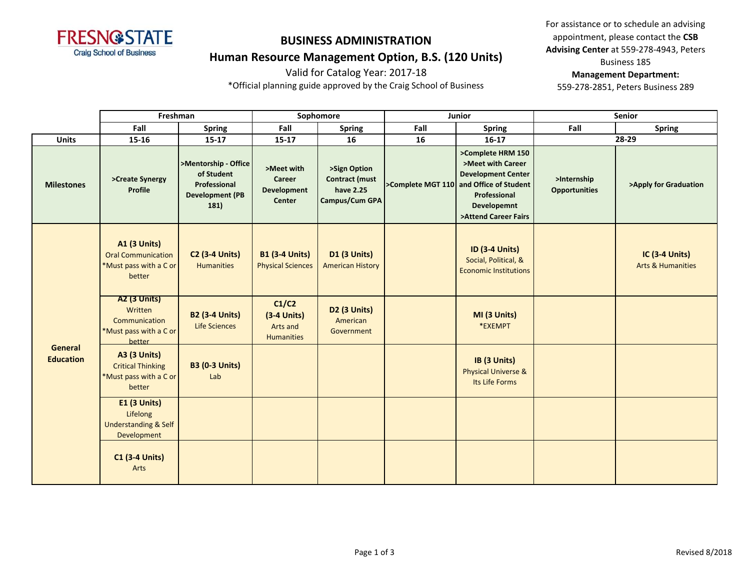

## **Human Resource Management Option, B.S. (120 Units)**

Valid for Catalog Year: 2017-18

\*Official planning guide approved by the Craig School of Business

For assistance or to schedule an advising appointment, please contact the **CSB Advising Center** at 559-278-4943, Peters Business 185

#### **Management Department:**

|                             | Freshman                                                                                   |                                                                                      |                                                             | Sophomore                                                            |      | Junior                                                                                                                                                                |                                     | <b>Senior</b>                                         |
|-----------------------------|--------------------------------------------------------------------------------------------|--------------------------------------------------------------------------------------|-------------------------------------------------------------|----------------------------------------------------------------------|------|-----------------------------------------------------------------------------------------------------------------------------------------------------------------------|-------------------------------------|-------------------------------------------------------|
|                             | Fall                                                                                       | <b>Spring</b>                                                                        | Fall                                                        | <b>Spring</b>                                                        | Fall | <b>Spring</b>                                                                                                                                                         | Fall                                | <b>Spring</b>                                         |
| <b>Units</b>                | 15-16                                                                                      | $15 - 17$                                                                            | $15 - 17$                                                   | 16                                                                   | 16   | $16-17$                                                                                                                                                               |                                     | 28-29                                                 |
| <b>Milestones</b>           | >Create Synergy<br>Profile                                                                 | >Mentorship - Office<br>of Student<br>Professional<br><b>Development (PB</b><br>181) | >Meet with<br>Career<br><b>Development</b><br><b>Center</b> | >Sign Option<br><b>Contract (must</b><br>have 2.25<br>Campus/Cum GPA |      | >Complete HRM 150<br>>Meet with Career<br><b>Development Center</b><br>>Complete MGT 110 and Office of Student<br>Professional<br>Developemnt<br>>Attend Career Fairs | >Internship<br><b>Opportunities</b> | >Apply for Graduation                                 |
|                             | <b>A1 (3 Units)</b><br><b>Oral Communication</b><br>*Must pass with a C or<br>better       | <b>C2 (3-4 Units)</b><br><b>Humanities</b>                                           | <b>B1 (3-4 Units)</b><br><b>Physical Sciences</b>           | <b>D1 (3 Units)</b><br><b>American History</b>                       |      | <b>ID (3-4 Units)</b><br>Social, Political, &<br><b>Economic Institutions</b>                                                                                         |                                     | <b>IC (3-4 Units)</b><br><b>Arts &amp; Humanities</b> |
|                             | <b>A2 (3 Units)</b><br>Written<br>Communication<br>*Must pass with a C or<br><b>better</b> | <b>B2 (3-4 Units)</b><br><b>Life Sciences</b>                                        | C1/C2<br>$(3-4$ Units)<br>Arts and<br><b>Humanities</b>     | D2 (3 Units)<br>American<br>Government                               |      | MI (3 Units)<br>*EXEMPT                                                                                                                                               |                                     |                                                       |
| General<br><b>Education</b> | <b>A3 (3 Units)</b><br><b>Critical Thinking</b><br>*Must pass with a C or<br>better        | <b>B3 (0-3 Units)</b><br>Lab                                                         |                                                             |                                                                      |      | IB (3 Units)<br><b>Physical Universe &amp;</b><br>Its Life Forms                                                                                                      |                                     |                                                       |
|                             | <b>E1 (3 Units)</b><br>Lifelong<br><b>Understanding &amp; Self</b><br>Development          |                                                                                      |                                                             |                                                                      |      |                                                                                                                                                                       |                                     |                                                       |
|                             | <b>C1 (3-4 Units)</b><br>Arts                                                              |                                                                                      |                                                             |                                                                      |      |                                                                                                                                                                       |                                     |                                                       |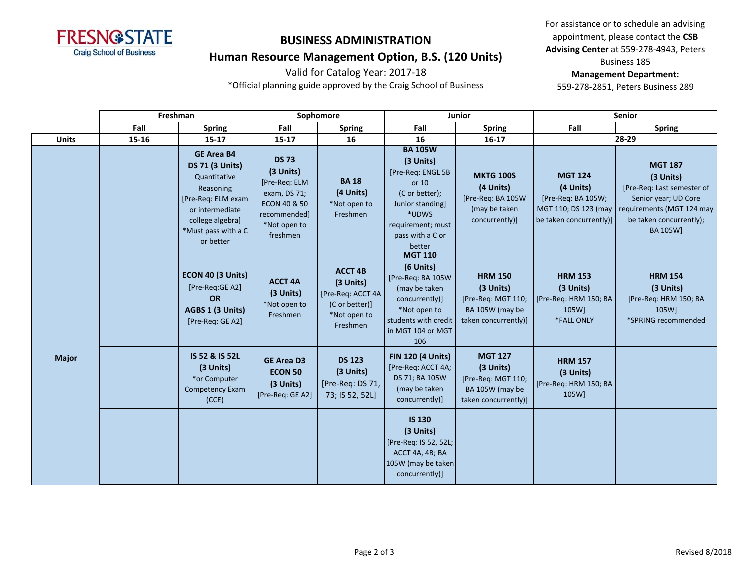

## **Human Resource Management Option, B.S. (120 Units)**

Valid for Catalog Year: 2017-18

\*Official planning guide approved by the Craig School of Business

For assistance or to schedule an advising appointment, please contact the **CSB Advising Center** at 559-278-4943, Peters Business 185

#### **Management Department:**

|              | Freshman |                                                                                                                                                                           |                                                                                                                                   | Sophomore                                                                                      |                                                                                                                                                             | Junior                                                                                       |                                                                              | <b>Senior</b>                                                                                                                                                              |
|--------------|----------|---------------------------------------------------------------------------------------------------------------------------------------------------------------------------|-----------------------------------------------------------------------------------------------------------------------------------|------------------------------------------------------------------------------------------------|-------------------------------------------------------------------------------------------------------------------------------------------------------------|----------------------------------------------------------------------------------------------|------------------------------------------------------------------------------|----------------------------------------------------------------------------------------------------------------------------------------------------------------------------|
|              | Fall     | <b>Spring</b>                                                                                                                                                             | Fall                                                                                                                              | <b>Spring</b>                                                                                  | Fall                                                                                                                                                        | <b>Spring</b>                                                                                | Fall                                                                         | <b>Spring</b>                                                                                                                                                              |
| <b>Units</b> | 15-16    | $15 - 17$                                                                                                                                                                 | $15 - 17$                                                                                                                         | 16                                                                                             | 16                                                                                                                                                          | $16 - 17$                                                                                    |                                                                              | 28-29                                                                                                                                                                      |
|              |          | <b>GE Area B4</b><br><b>DS 71 (3 Units)</b><br>Quantitative<br>Reasoning<br>[Pre-Req: ELM exam<br>or intermediate<br>college algebra]<br>*Must pass with a C<br>or better | <b>DS 73</b><br>(3 Units)<br>[Pre-Req: ELM<br>exam, DS 71;<br><b>ECON 40 &amp; 50</b><br>recommended]<br>*Not open to<br>freshmen | <b>BA 18</b><br>(4 Units)<br>*Not open to<br>Freshmen                                          | <b>BA 105W</b><br>(3 Units)<br>[Pre-Req: ENGL 5B<br>or 10<br>(C or better);<br>Junior standing]<br>*UDWS<br>requirement; must<br>pass with a C or<br>better | <b>MKTG 100S</b><br>(4 Units)<br>[Pre-Req: BA 105W<br>(may be taken<br>concurrently)]        | <b>MGT 124</b><br>(4 Units)<br>[Pre-Req: BA 105W;<br>be taken concurrently)] | <b>MGT 187</b><br>(3 Units)<br>[Pre-Req: Last semester of<br>Senior year; UD Core<br>MGT 110; DS 123 (may requirements (MGT 124 may<br>be taken concurrently);<br>BA 105W] |
|              |          | ECON 40 (3 Units)<br>[Pre-Reg:GE A2]<br><b>OR</b><br>AGBS 1 (3 Units)<br>[Pre-Req: GE A2]                                                                                 | <b>ACCT 4A</b><br>(3 Units)<br>*Not open to<br>Freshmen                                                                           | <b>ACCT 4B</b><br>(3 Units)<br>[Pre-Req: ACCT 4A<br>(C or better)]<br>*Not open to<br>Freshmen | <b>MGT 110</b><br>(6 Units)<br>[Pre-Req: BA 105W<br>(may be taken<br>concurrently)]<br>*Not open to<br>students with credit<br>in MGT 104 or MGT<br>106     | <b>HRM 150</b><br>(3 Units)<br>[Pre-Req: MGT 110;<br>BA 105W (may be<br>taken concurrently)] | <b>HRM 153</b><br>(3 Units)<br>[Pre-Req: HRM 150; BA<br>105W]<br>*FALL ONLY  | <b>HRM 154</b><br>(3 Units)<br>[Pre-Req: HRM 150; BA<br>105W]<br>*SPRING recommended                                                                                       |
| <b>Major</b> |          | IS 52 & IS 52L<br>(3 Units)<br>*or Computer<br>Competency Exam<br>(CCE)                                                                                                   | <b>GE Area D3</b><br><b>ECON 50</b><br>(3 Units)<br>[Pre-Req: GE A2]                                                              | <b>DS 123</b><br>$(3$ Units)<br>[Pre-Req: DS 71,<br>73; IS 52, 52L]                            | <b>FIN 120 (4 Units)</b><br>[Pre-Req: ACCT 4A;<br>DS 71; BA 105W<br>(may be taken<br>concurrently)]                                                         | <b>MGT 127</b><br>(3 Units)<br>[Pre-Req: MGT 110;<br>BA 105W (may be<br>taken concurrently)] | <b>HRM 157</b><br>(3 Units)<br>[Pre-Req: HRM 150; BA<br>105W]                |                                                                                                                                                                            |
|              |          |                                                                                                                                                                           |                                                                                                                                   |                                                                                                | <b>IS 130</b><br>(3 Units)<br>[Pre-Req: IS 52, 52L;<br>ACCT 4A, 4B; BA<br>105W (may be taken<br>concurrently)]                                              |                                                                                              |                                                                              |                                                                                                                                                                            |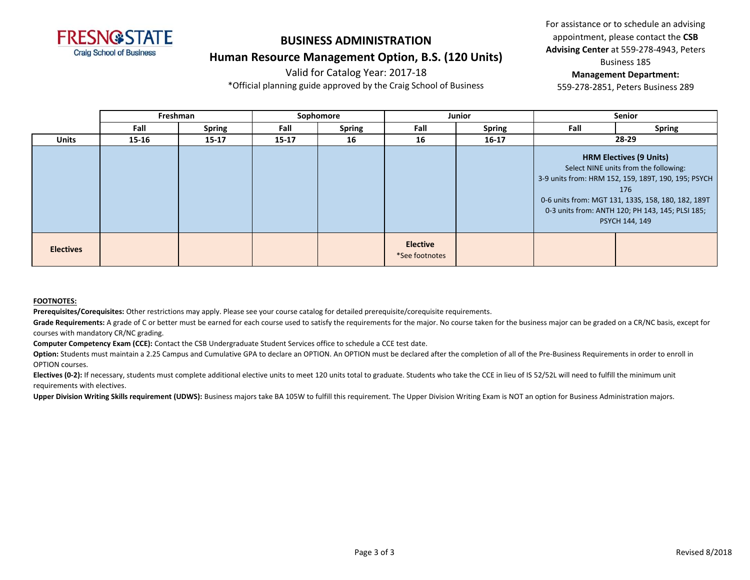

#### **Human Resource Management Option, B.S. (120 Units)**

Valid for Catalog Year: 2017-18

\*Official planning guide approved by the Craig School of Business

For assistance or to schedule an advising appointment, please contact the **CSB Advising Center** at 559-278-4943, Peters

Business 185

#### **Management Department:**

559-278-2851, Peters Business 289

|                  | Freshman |               |           | Sophomore     |                                   | <b>Junior</b> |      | <b>Senior</b>                                                                                                                                                                                                                                                     |
|------------------|----------|---------------|-----------|---------------|-----------------------------------|---------------|------|-------------------------------------------------------------------------------------------------------------------------------------------------------------------------------------------------------------------------------------------------------------------|
|                  | Fall     | <b>Spring</b> | Fall      | <b>Spring</b> | Fall                              | <b>Spring</b> | Fall | <b>Spring</b>                                                                                                                                                                                                                                                     |
| <b>Units</b>     | 15-16    | $15 - 17$     | $15 - 17$ | 16            | 16                                | $16 - 17$     |      | 28-29                                                                                                                                                                                                                                                             |
|                  |          |               |           |               |                                   |               |      | <b>HRM Electives (9 Units)</b><br>Select NINE units from the following:<br>3-9 units from: HRM 152, 159, 189T, 190, 195; PSYCH<br>176<br>0-6 units from: MGT 131, 133S, 158, 180, 182, 189T<br>0-3 units from: ANTH 120; PH 143, 145; PLSI 185;<br>PSYCH 144, 149 |
| <b>Electives</b> |          |               |           |               | <b>Elective</b><br>*See footnotes |               |      |                                                                                                                                                                                                                                                                   |

#### **FOOTNOTES:**

**Prerequisites/Corequisites:** Other restrictions may apply. Please see your course catalog for detailed prerequisite/corequisite requirements.

Grade Requirements: A grade of C or better must be earned for each course used to satisfy the requirements for the major. No course taken for the business major can be graded on a CR/NC basis, except for courses with mandatory CR/NC grading.

**Computer Competency Exam (CCE):** Contact the CSB Undergraduate Student Services office to schedule a CCE test date.

Option: Students must maintain a 2.25 Campus and Cumulative GPA to declare an OPTION. An OPTION must be declared after the completion of all of the Pre-Business Requirements in order to enroll in OPTION courses.

Electives (0-2): If necessary, students must complete additional elective units to meet 120 units total to graduate. Students who take the CCE in lieu of IS 52/52L will need to fulfill the minimum unit requirements with electives.

Upper Division Writing Skills requirement (UDWS): Business majors take BA 105W to fulfill this requirement. The Upper Division Writing Exam is NOT an option for Business Administration majors.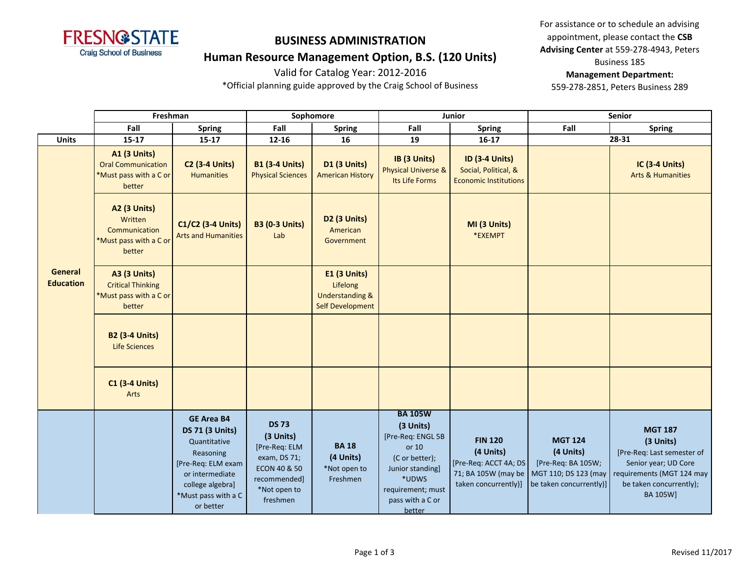

### **Human Resource Management Option, B.S. (120 Units)**

Valid for Catalog Year: 2012-2016

\*Official planning guide approved by the Craig School of Business

For assistance or to schedule an advising appointment, please contact the **CSB Advising Center** at 559-278-4943, Peters Business 185

#### **Management Department:**

|                                    | Freshman                                                                             |                                                                                                                                                                           |                                                                                                                                   | Sophomore                                                                         |                                                                                                                                                             | Junior                                                                                              |                                                                                                      | Senior                                                                                                                                                       |  |
|------------------------------------|--------------------------------------------------------------------------------------|---------------------------------------------------------------------------------------------------------------------------------------------------------------------------|-----------------------------------------------------------------------------------------------------------------------------------|-----------------------------------------------------------------------------------|-------------------------------------------------------------------------------------------------------------------------------------------------------------|-----------------------------------------------------------------------------------------------------|------------------------------------------------------------------------------------------------------|--------------------------------------------------------------------------------------------------------------------------------------------------------------|--|
|                                    | Fall                                                                                 | <b>Spring</b>                                                                                                                                                             | Fall                                                                                                                              | <b>Spring</b>                                                                     | Fall                                                                                                                                                        | <b>Spring</b>                                                                                       | Fall                                                                                                 | <b>Spring</b>                                                                                                                                                |  |
| <b>Units</b>                       | $15 - 17$                                                                            | $15 - 17$                                                                                                                                                                 | $12 - 16$                                                                                                                         | 16                                                                                | 19                                                                                                                                                          | $16-17$                                                                                             |                                                                                                      | 28-31                                                                                                                                                        |  |
|                                    | <b>A1 (3 Units)</b><br><b>Oral Communication</b><br>*Must pass with a C or<br>better | <b>C2 (3-4 Units)</b><br><b>Humanities</b>                                                                                                                                | <b>B1 (3-4 Units)</b><br><b>Physical Sciences</b>                                                                                 | D1 (3 Units)<br><b>American History</b>                                           | IB (3 Units)<br><b>Physical Universe &amp;</b><br>Its Life Forms                                                                                            | <b>ID (3-4 Units)</b><br>Social, Political, &<br><b>Economic Institutions</b>                       |                                                                                                      | <b>IC (3-4 Units)</b><br><b>Arts &amp; Humanities</b>                                                                                                        |  |
|                                    | <b>A2 (3 Units)</b><br>Written<br>Communication<br>*Must pass with a C or<br>better  | C1/C2 (3-4 Units)<br><b>Arts and Humanities</b>                                                                                                                           | <b>B3 (0-3 Units)</b><br>Lab                                                                                                      | D2 (3 Units)<br>American<br>Government                                            |                                                                                                                                                             | MI (3 Units)<br>*EXEMPT                                                                             |                                                                                                      |                                                                                                                                                              |  |
| <b>General</b><br><b>Education</b> | <b>A3 (3 Units)</b><br><b>Critical Thinking</b><br>*Must pass with a C or<br>better  |                                                                                                                                                                           |                                                                                                                                   | E1 (3 Units)<br>Lifelong<br><b>Understanding &amp;</b><br><b>Self Development</b> |                                                                                                                                                             |                                                                                                     |                                                                                                      |                                                                                                                                                              |  |
|                                    | <b>B2 (3-4 Units)</b><br><b>Life Sciences</b>                                        |                                                                                                                                                                           |                                                                                                                                   |                                                                                   |                                                                                                                                                             |                                                                                                     |                                                                                                      |                                                                                                                                                              |  |
|                                    | <b>C1 (3-4 Units)</b><br>Arts                                                        |                                                                                                                                                                           |                                                                                                                                   |                                                                                   |                                                                                                                                                             |                                                                                                     |                                                                                                      |                                                                                                                                                              |  |
|                                    |                                                                                      | <b>GE Area B4</b><br><b>DS 71 (3 Units)</b><br>Quantitative<br>Reasoning<br>[Pre-Req: ELM exam<br>or intermediate<br>college algebra]<br>*Must pass with a C<br>or better | <b>DS 73</b><br>(3 Units)<br>[Pre-Req: ELM<br>exam, DS 71;<br><b>ECON 40 &amp; 50</b><br>recommended]<br>*Not open to<br>freshmen | <b>BA18</b><br>(4 Units)<br>*Not open to<br>Freshmen                              | <b>BA 105W</b><br>(3 Units)<br>[Pre-Req: ENGL 5B<br>or 10<br>(C or better);<br>Junior standing]<br>*UDWS<br>requirement; must<br>pass with a C or<br>better | <b>FIN 120</b><br>(4 Units)<br>[Pre-Req: ACCT 4A; DS<br>71; BA 105W (may be<br>taken concurrently)] | <b>MGT 124</b><br>(4 Units)<br>[Pre-Req: BA 105W;<br>MGT 110; DS 123 (may<br>be taken concurrently)] | <b>MGT 187</b><br>(3 Units)<br>[Pre-Req: Last semester of<br>Senior year; UD Core<br>requirements (MGT 124 may<br>be taken concurrently);<br><b>BA 105W]</b> |  |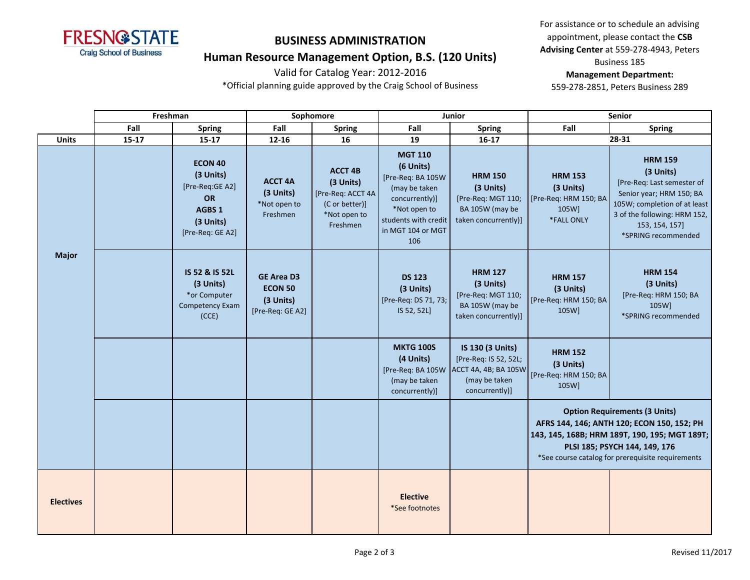

### **Human Resource Management Option, B.S. (120 Units)**

Valid for Catalog Year: 2012-2016

\*Official planning guide approved by the Craig School of Business

For assistance or to schedule an advising appointment, please contact the **CSB Advising Center** at 559-278-4943, Peters Business 185

#### **Management Department:**

|                  | Freshman  |                                                                                                 |                                                                      | Sophomore                                                                                      | Junior                                                                                                                                                  |                                                                                                      |                                                                             | <b>Senior</b>                                                                                                                                                                                                             |
|------------------|-----------|-------------------------------------------------------------------------------------------------|----------------------------------------------------------------------|------------------------------------------------------------------------------------------------|---------------------------------------------------------------------------------------------------------------------------------------------------------|------------------------------------------------------------------------------------------------------|-----------------------------------------------------------------------------|---------------------------------------------------------------------------------------------------------------------------------------------------------------------------------------------------------------------------|
|                  | Fall      | <b>Spring</b>                                                                                   | Fall                                                                 | <b>Spring</b>                                                                                  | Fall                                                                                                                                                    | <b>Spring</b>                                                                                        | Fall                                                                        | <b>Spring</b>                                                                                                                                                                                                             |
| <b>Units</b>     | $15 - 17$ | 15-17                                                                                           | 12-16                                                                | 16                                                                                             | 19                                                                                                                                                      | $16 - 17$                                                                                            |                                                                             | 28-31                                                                                                                                                                                                                     |
|                  |           | <b>ECON 40</b><br>(3 Units)<br>[Pre-Req:GE A2]<br>OR<br>AGBS 1<br>(3 Units)<br>[Pre-Req: GE A2] | <b>ACCT 4A</b><br>(3 Units)<br>*Not open to<br>Freshmen              | <b>ACCT 4B</b><br>(3 Units)<br>[Pre-Req: ACCT 4A<br>(C or better)]<br>*Not open to<br>Freshmen | <b>MGT 110</b><br>(6 Units)<br>[Pre-Req: BA 105W<br>(may be taken<br>concurrently)]<br>*Not open to<br>students with credit<br>in MGT 104 or MGT<br>106 | <b>HRM 150</b><br>(3 Units)<br>[Pre-Req: MGT 110;<br>BA 105W (may be<br>taken concurrently)]         | <b>HRM 153</b><br>(3 Units)<br>[Pre-Req: HRM 150; BA<br>105W]<br>*FALL ONLY | <b>HRM 159</b><br>(3 Units)<br>[Pre-Req: Last semester of<br>Senior year; HRM 150; BA<br>105W; completion of at least<br>3 of the following: HRM 152,<br>153, 154, 157]<br>*SPRING recommended                            |
| <b>Major</b>     |           | IS 52 & IS 52L<br>(3 Units)<br>*or Computer<br>Competency Exam<br>(CCE)                         | <b>GE Area D3</b><br><b>ECON 50</b><br>(3 Units)<br>[Pre-Req: GE A2] |                                                                                                | <b>DS 123</b><br>(3 Units)<br>[Pre-Req: DS 71, 73;<br>IS 52, 52L]                                                                                       | <b>HRM 127</b><br>(3 Units)<br>[Pre-Req: MGT 110;<br>BA 105W (may be<br>taken concurrently)]         | <b>HRM 157</b><br>(3 Units)<br>[Pre-Req: HRM 150; BA<br>105W]               | <b>HRM 154</b><br>(3 Units)<br>[Pre-Req: HRM 150; BA<br>105W]<br>*SPRING recommended                                                                                                                                      |
|                  |           |                                                                                                 |                                                                      |                                                                                                | <b>MKTG 100S</b><br>(4 Units)<br>[Pre-Req: BA 105W<br>(may be taken<br>concurrently)]                                                                   | IS 130 (3 Units)<br>[Pre-Req: IS 52, 52L;<br>ACCT 4A, 4B; BA 105W<br>(may be taken<br>concurrently)] | <b>HRM 152</b><br>(3 Units)<br>[Pre-Req: HRM 150; BA<br>105W]               |                                                                                                                                                                                                                           |
|                  |           |                                                                                                 |                                                                      |                                                                                                |                                                                                                                                                         |                                                                                                      |                                                                             | <b>Option Requirements (3 Units)</b><br>AFRS 144, 146; ANTH 120; ECON 150, 152; PH<br>143, 145, 168B; HRM 189T, 190, 195; MGT 189T;<br>PLSI 185; PSYCH 144, 149, 176<br>*See course catalog for prerequisite requirements |
| <b>Electives</b> |           |                                                                                                 |                                                                      |                                                                                                | <b>Elective</b><br>*See footnotes                                                                                                                       |                                                                                                      |                                                                             |                                                                                                                                                                                                                           |